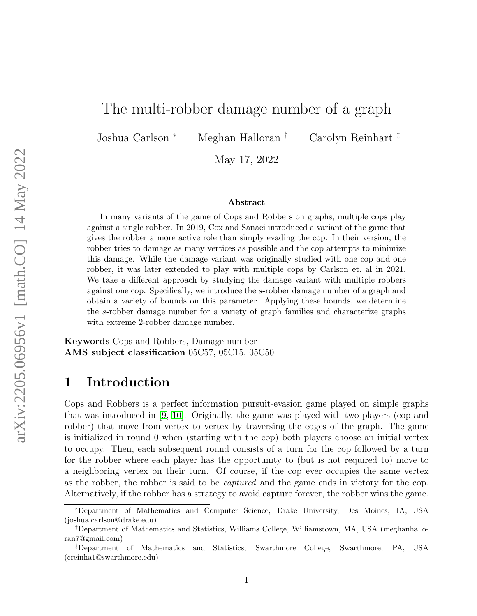# The multi-robber damage number of a graph

Joshua Carlson <sup>∗</sup> Meghan Halloran † Carolyn Reinhart ‡

May 17, 2022

#### Abstract

In many variants of the game of Cops and Robbers on graphs, multiple cops play against a single robber. In 2019, Cox and Sanaei introduced a variant of the game that gives the robber a more active role than simply evading the cop. In their version, the robber tries to damage as many vertices as possible and the cop attempts to minimize this damage. While the damage variant was originally studied with one cop and one robber, it was later extended to play with multiple cops by Carlson et. al in 2021. We take a different approach by studying the damage variant with multiple robbers against one cop. Specifically, we introduce the s-robber damage number of a graph and obtain a variety of bounds on this parameter. Applying these bounds, we determine the s-robber damage number for a variety of graph families and characterize graphs with extreme 2-robber damage number.

Keywords Cops and Robbers, Damage number AMS subject classification 05C57, 05C15, 05C50

## 1 Introduction

Cops and Robbers is a perfect information pursuit-evasion game played on simple graphs that was introduced in [\[9,](#page-15-0) [10\]](#page-15-1). Originally, the game was played with two players (cop and robber) that move from vertex to vertex by traversing the edges of the graph. The game is initialized in round 0 when (starting with the cop) both players choose an initial vertex to occupy. Then, each subsequent round consists of a turn for the cop followed by a turn for the robber where each player has the opportunity to (but is not required to) move to a neighboring vertex on their turn. Of course, if the cop ever occupies the same vertex as the robber, the robber is said to be captured and the game ends in victory for the cop. Alternatively, if the robber has a strategy to avoid capture forever, the robber wins the game.

<sup>∗</sup>Department of Mathematics and Computer Science, Drake University, Des Moines, IA, USA (joshua.carlson@drake.edu)

<sup>†</sup>Department of Mathematics and Statistics, Williams College, Williamstown, MA, USA (meghanhalloran7@gmail.com)

<sup>‡</sup>Department of Mathematics and Statistics, Swarthmore College, Swarthmore, PA, USA (creinha1@swarthmore.edu)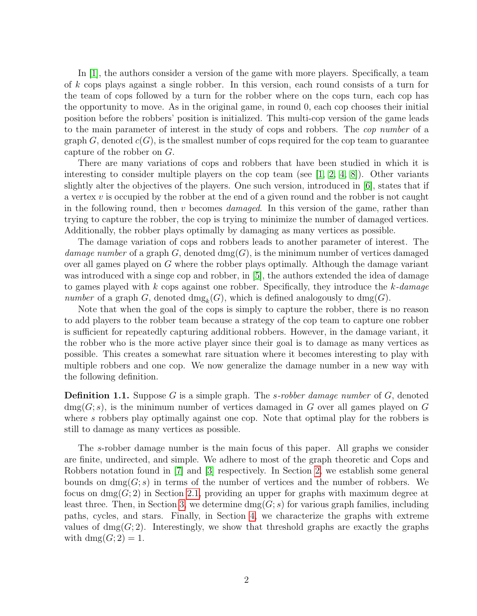In [\[1\]](#page-15-2), the authors consider a version of the game with more players. Specifically, a team of k cops plays against a single robber. In this version, each round consists of a turn for the team of cops followed by a turn for the robber where on the cops turn, each cop has the opportunity to move. As in the original game, in round 0, each cop chooses their initial position before the robbers' position is initialized. This multi-cop version of the game leads to the main parameter of interest in the study of cops and robbers. The cop number of a graph  $G$ , denoted  $c(G)$ , is the smallest number of cops required for the cop team to guarantee capture of the robber on G.

There are many variations of cops and robbers that have been studied in which it is interesting to consider multiple players on the cop team (see  $[1, 2, 4, 8]$  $[1, 2, 4, 8]$  $[1, 2, 4, 8]$  $[1, 2, 4, 8]$ ). Other variants slightly alter the objectives of the players. One such version, introduced in [\[6\]](#page-15-6), states that if a vertex  $v$  is occupied by the robber at the end of a given round and the robber is not caught in the following round, then v becomes *damaged*. In this version of the game, rather than trying to capture the robber, the cop is trying to minimize the number of damaged vertices. Additionally, the robber plays optimally by damaging as many vertices as possible.

The damage variation of cops and robbers leads to another parameter of interest. The damage number of a graph G, denoted  $\text{dmg}(G)$ , is the minimum number of vertices damaged over all games played on G where the robber plays optimally. Although the damage variant was introduced with a singe cop and robber, in [\[5\]](#page-15-7), the authors extended the idea of damage to games played with k cops against one robber. Specifically, they introduce the  $k$ -damage number of a graph G, denoted  $\text{dmg}_k(G)$ , which is defined analogously to  $\text{dmg}(G)$ .

Note that when the goal of the cops is simply to capture the robber, there is no reason to add players to the robber team because a strategy of the cop team to capture one robber is sufficient for repeatedly capturing additional robbers. However, in the damage variant, it the robber who is the more active player since their goal is to damage as many vertices as possible. This creates a somewhat rare situation where it becomes interesting to play with multiple robbers and one cop. We now generalize the damage number in a new way with the following definition.

**Definition 1.1.** Suppose G is a simple graph. The *s-robber damage number* of  $G$ , denoted  $\text{dmg}(G; s)$ , is the minimum number of vertices damaged in G over all games played on G where s robbers play optimally against one cop. Note that optimal play for the robbers is still to damage as many vertices as possible.

The s-robber damage number is the main focus of this paper. All graphs we consider are finite, undirected, and simple. We adhere to most of the graph theoretic and Cops and Robbers notation found in [\[7\]](#page-15-8) and [\[3\]](#page-15-9) respectively. In Section [2,](#page-2-0) we establish some general bounds on  $\text{dmg}(G; s)$  in terms of the number of vertices and the number of robbers. We focus on  $\text{dmg}(G; 2)$  in Section [2.1,](#page-3-0) providing an upper for graphs with maximum degree at least three. Then, in Section [3,](#page-5-0) we determine  $\text{dmg}(G; s)$  for various graph families, including paths, cycles, and stars. Finally, in Section [4,](#page-11-0) we characterize the graphs with extreme values of  $\text{dmg}(G; 2)$ . Interestingly, we show that threshold graphs are exactly the graphs with  $\text{dmg}(G; 2) = 1$ .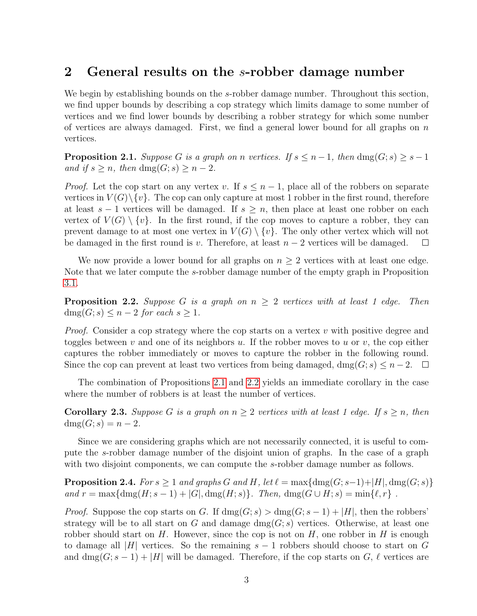### <span id="page-2-0"></span>2 General results on the s-robber damage number

We begin by establishing bounds on the *s*-robber damage number. Throughout this section, we find upper bounds by describing a cop strategy which limits damage to some number of vertices and we find lower bounds by describing a robber strategy for which some number of vertices are always damaged. First, we find a general lower bound for all graphs on  $n$ vertices.

<span id="page-2-1"></span>**Proposition 2.1.** Suppose G is a graph on n vertices. If  $s \leq n-1$ , then  $\text{dmg}(G; s) \geq s-1$ and if  $s \geq n$ , then dmg( $G; s \geq n-2$ .

*Proof.* Let the cop start on any vertex v. If  $s \leq n-1$ , place all of the robbers on separate vertices in  $V(G)\setminus \{v\}$ . The cop can only capture at most 1 robber in the first round, therefore at least  $s - 1$  vertices will be damaged. If  $s \geq n$ , then place at least one robber on each vertex of  $V(G) \setminus \{v\}$ . In the first round, if the cop moves to capture a robber, they can prevent damage to at most one vertex in  $V(G) \setminus \{v\}$ . The only other vertex which will not be damaged in the first round is v. Therefore, at least  $n-2$  vertices will be damaged.  $\Box$ 

We now provide a lower bound for all graphs on  $n \geq 2$  vertices with at least one edge. Note that we later compute the s-robber damage number of the empty graph in Proposition [3.1.](#page-5-1)

<span id="page-2-2"></span>**Proposition 2.2.** Suppose G is a graph on  $n \geq 2$  vertices with at least 1 edge. Then  $\text{dmg}(G; s) \leq n - 2$  for each  $s \geq 1$ .

*Proof.* Consider a cop strategy where the cop starts on a vertex  $v$  with positive degree and toggles between v and one of its neighbors u. If the robber moves to u or v, the cop either captures the robber immediately or moves to capture the robber in the following round. Since the cop can prevent at least two vertices from being damaged, dmg( $G; s$ )  $\leq n-2$ .  $\Box$ 

The combination of Propositions [2.1](#page-2-1) and [2.2](#page-2-2) yields an immediate corollary in the case where the number of robbers is at least the number of vertices.

**Corollary 2.3.** Suppose G is a graph on  $n \geq 2$  vertices with at least 1 edge. If  $s \geq n$ , then  $dmg(G; s) = n - 2.$ 

Since we are considering graphs which are not necessarily connected, it is useful to compute the s-robber damage number of the disjoint union of graphs. In the case of a graph with two disjoint components, we can compute the *s*-robber damage number as follows.

**Proposition 2.4.** For  $s \geq 1$  and graphs G and H, let  $\ell = \max{\dim(G; s-1) + |H|}, \dim(G; s)$ and  $r = \max{\{\text{dmg}(H; s - 1) + |G|, \text{dmg}(H; s)\}}$ . Then,  $\dim(G \cup H; s) = \min{\{\ell, r\}}$ .

*Proof.* Suppose the cop starts on G. If  $\dim(g; s) > \dim(g; s-1) + |H|$ , then the robbers' strategy will be to all start on G and damage  $\text{dmg}(G; s)$  vertices. Otherwise, at least one robber should start on  $H$ . However, since the cop is not on  $H$ , one robber in  $H$  is enough to damage all |H| vertices. So the remaining  $s - 1$  robbers should choose to start on G and dmg( $G$ ;  $s - 1$ ) + |H| will be damaged. Therefore, if the cop starts on G,  $\ell$  vertices are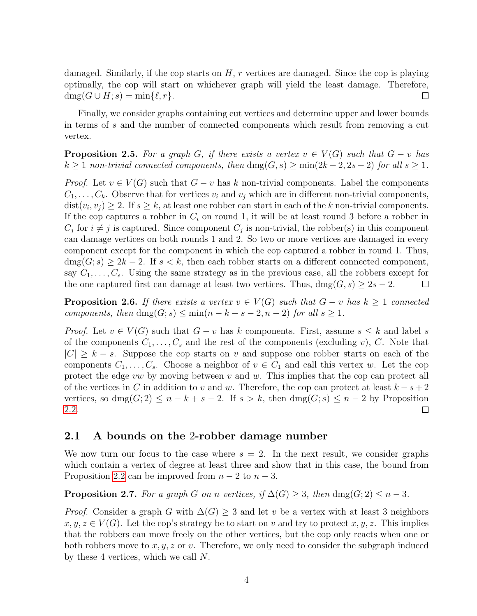damaged. Similarly, if the cop starts on  $H$ , r vertices are damaged. Since the cop is playing optimally, the cop will start on whichever graph will yield the least damage. Therefore,  $\operatorname{dmg}(G \cup H; s) = \min\{\ell, r\}.$  $\Box$ 

Finally, we consider graphs containing cut vertices and determine upper and lower bounds in terms of s and the number of connected components which result from removing a cut vertex.

**Proposition 2.5.** For a graph G, if there exists a vertex  $v \in V(G)$  such that  $G - v$  has  $k \geq 1$  non-trivial connected components, then  $\text{dmg}(G, s) \geq \min(2k - 2, 2s - 2)$  for all  $s \geq 1$ .

*Proof.* Let  $v \in V(G)$  such that  $G - v$  has k non-trivial components. Label the components  $C_1, \ldots, C_k$ . Observe that for vertices  $v_i$  and  $v_j$  which are in different non-trivial components,  $dist(v_i, v_j) \geq 2$ . If  $s \geq k$ , at least one robber can start in each of the k non-trivial components. If the cop captures a robber in  $C_i$  on round 1, it will be at least round 3 before a robber in  $C_j$  for  $i \neq j$  is captured. Since component  $C_j$  is non-trivial, the robber(s) in this component can damage vertices on both rounds 1 and 2. So two or more vertices are damaged in every component except for the component in which the cop captured a robber in round 1. Thus,  $\text{dmg}(G; s) \geq 2k - 2$ . If  $s < k$ , then each robber starts on a different connected component, say  $C_1, \ldots, C_s$ . Using the same strategy as in the previous case, all the robbers except for the one captured first can damage at least two vertices. Thus,  $\text{dmg}(G, s) \geq 2s - 2$ .  $\Box$ 

**Proposition 2.6.** If there exists a vertex  $v \in V(G)$  such that  $G - v$  has  $k \geq 1$  connected components, then  $\text{dmg}(G; s) \le \min(n - k + s - 2, n - 2)$  for all  $s \ge 1$ .

*Proof.* Let  $v \in V(G)$  such that  $G - v$  has k components. First, assume  $s \leq k$  and label s of the components  $C_1, \ldots, C_s$  and the rest of the components (excluding v), C. Note that  $|C| \geq k - s$ . Suppose the cop starts on v and suppose one robber starts on each of the components  $C_1, \ldots, C_s$ . Choose a neighbor of  $v \in C_1$  and call this vertex w. Let the cop protect the edge vw by moving between v and w. This implies that the cop can protect all of the vertices in C in addition to v and w. Therefore, the cop can protect at least  $k - s + 2$ vertices, so  $\text{dmg}(G; 2) \leq n - k + s - 2$ . If  $s > k$ , then  $\text{dmg}(G; s) \leq n - 2$  by Proposition [2.2.](#page-2-2)  $\Box$ 

### <span id="page-3-0"></span>2.1 A bounds on the 2-robber damage number

We now turn our focus to the case where  $s = 2$ . In the next result, we consider graphs which contain a vertex of degree at least three and show that in this case, the bound from Proposition [2.2](#page-2-2) can be improved from  $n-2$  to  $n-3$ .

<span id="page-3-1"></span>**Proposition 2.7.** For a graph G on n vertices, if  $\Delta(G) \geq 3$ , then dmg $(G; 2) \leq n - 3$ .

*Proof.* Consider a graph G with  $\Delta(G) \geq 3$  and let v be a vertex with at least 3 neighbors  $x, y, z \in V(G)$ . Let the cop's strategy be to start on v and try to protect  $x, y, z$ . This implies that the robbers can move freely on the other vertices, but the cop only reacts when one or both robbers move to  $x, y, z$  or v. Therefore, we only need to consider the subgraph induced by these 4 vertices, which we call N.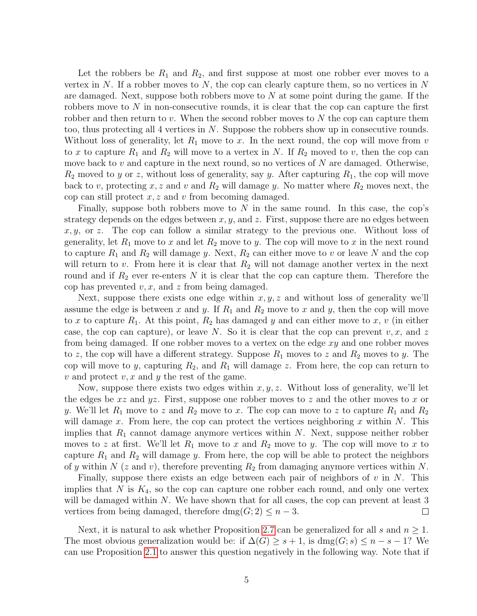Let the robbers be  $R_1$  and  $R_2$ , and first suppose at most one robber ever moves to a vertex in  $N$ . If a robber moves to  $N$ , the cop can clearly capture them, so no vertices in  $N$ are damaged. Next, suppose both robbers move to  $N$  at some point during the game. If the robbers move to  $N$  in non-consecutive rounds, it is clear that the cop can capture the first robber and then return to v. When the second robber moves to  $N$  the cop can capture them too, thus protecting all 4 vertices in N. Suppose the robbers show up in consecutive rounds. Without loss of generality, let  $R_1$  move to x. In the next round, the cop will move from v to x to capture  $R_1$  and  $R_2$  will move to a vertex in N. If  $R_2$  moved to v, then the cop can move back to v and capture in the next round, so no vertices of  $N$  are damaged. Otherwise,  $R_2$  moved to y or z, without loss of generality, say y. After capturing  $R_1$ , the cop will move back to v, protecting x, z and v and  $R_2$  will damage y. No matter where  $R_2$  moves next, the cop can still protect  $x, z$  and  $v$  from becoming damaged.

Finally, suppose both robbers move to  $N$  in the same round. In this case, the cop's strategy depends on the edges between  $x, y$ , and  $z$ . First, suppose there are no edges between  $x, y$ , or z. The cop can follow a similar strategy to the previous one. Without loss of generality, let  $R_1$  move to x and let  $R_2$  move to y. The cop will move to x in the next round to capture  $R_1$  and  $R_2$  will damage y. Next,  $R_2$  can either move to v or leave N and the cop will return to v. From here it is clear that  $R_2$  will not damage another vertex in the next round and if  $R_2$  ever re-enters N it is clear that the cop can capture them. Therefore the cop has prevented  $v, x$ , and  $z$  from being damaged.

Next, suppose there exists one edge within  $x, y, z$  and without loss of generality we'll assume the edge is between x and y. If  $R_1$  and  $R_2$  move to x and y, then the cop will move to x to capture  $R_1$ . At this point,  $R_2$  has damaged y and can either move to x, v (in either case, the cop can capture), or leave N. So it is clear that the cop can prevent  $v, x$ , and z from being damaged. If one robber moves to a vertex on the edge xy and one robber moves to z, the cop will have a different strategy. Suppose  $R_1$  moves to z and  $R_2$  moves to y. The cop will move to y, capturing  $R_2$ , and  $R_1$  will damage z. From here, the cop can return to v and protect v, x and y the rest of the game.

Now, suppose there exists two edges within  $x, y, z$ . Without loss of generality, we'll let the edges be  $xz$  and  $yz$ . First, suppose one robber moves to z and the other moves to x or y. We'll let  $R_1$  move to z and  $R_2$  move to x. The cop can move to z to capture  $R_1$  and  $R_2$ will damage x. From here, the cop can protect the vertices neighboring x within  $N$ . This implies that  $R_1$  cannot damage anymore vertices within N. Next, suppose neither robber moves to z at first. We'll let  $R_1$  move to x and  $R_2$  move to y. The cop will move to x to capture  $R_1$  and  $R_2$  will damage y. From here, the cop will be able to protect the neighbors of y within N (z and v), therefore preventing  $R_2$  from damaging anymore vertices within N.

Finally, suppose there exists an edge between each pair of neighbors of  $v$  in  $N$ . This implies that  $N$  is  $K_4$ , so the cop can capture one robber each round, and only one vertex will be damaged within  $N$ . We have shown that for all cases, the cop can prevent at least 3 vertices from being damaged, therefore dmg $(G; 2) \leq n - 3$ .  $\Box$ 

Next, it is natural to ask whether Proposition [2.7](#page-3-1) can be generalized for all s and  $n \geq 1$ . The most obvious generalization would be: if  $\Delta(G) \geq s+1$ , is  $\text{dmg}(G; s) \leq n - s - 1$ ? We can use Proposition [2.1](#page-2-1) to answer this question negatively in the following way. Note that if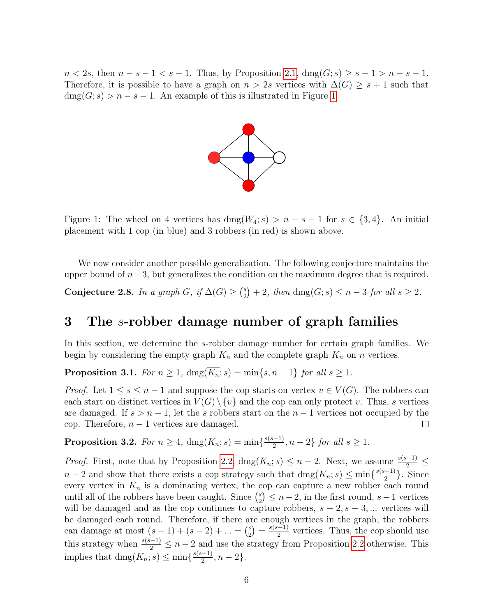<span id="page-5-2"></span> $n < 2s$ , then  $n - s - 1 < s - 1$ . Thus, by Proposition [2.1,](#page-2-1)  $\text{dmg}(G; s) \geq s - 1 > n - s - 1$ . Therefore, it is possible to have a graph on  $n > 2s$  vertices with  $\Delta(G) \geq s + 1$  such that  $\text{dmg}(G; s) > n - s - 1$ . An example of this is illustrated in Figure [1.](#page-5-2)



Figure 1: The wheel on 4 vertices has  $\text{dmg}(W_4; s) > n - s - 1$  for  $s \in \{3, 4\}$ . An initial placement with 1 cop (in blue) and 3 robbers (in red) is shown above.

We now consider another possible generalization. The following conjecture maintains the upper bound of  $n-3$ , but generalizes the condition on the maximum degree that is required.

<span id="page-5-3"></span>Conjecture 2.8. In a graph G, if  $\Delta(G) \geq {s \choose 2}$  $a_2^s$  + 2, then dmg(G; s)  $\leq n-3$  for all  $s \geq 2$ .

## <span id="page-5-0"></span>3 The s-robber damage number of graph families

In this section, we determine the s-robber damage number for certain graph families. We begin by considering the empty graph  $\overline{K_n}$  and the complete graph  $K_n$  on n vertices.

<span id="page-5-1"></span>**Proposition 3.1.** For  $n \geq 1$ ,  $\text{dmg}(\overline{K_n}; s) = \min\{s, n-1\}$  for all  $s \geq 1$ .

*Proof.* Let  $1 \leq s \leq n-1$  and suppose the cop starts on vertex  $v \in V(G)$ . The robbers can each start on distinct vertices in  $V(G) \setminus \{v\}$  and the cop can only protect v. Thus, s vertices are damaged. If  $s > n - 1$ , let the s robbers start on the  $n - 1$  vertices not occupied by the cop. Therefore,  $n-1$  vertices are damaged.  $\Box$ 

**Proposition 3.2.** For  $n \geq 4$ ,  $\text{dmg}(K_n; s) = \min\{\frac{s(s-1)}{2}$  $\frac{(-1)}{2}, n-2$  for all  $s \geq 1$ .

*Proof.* First, note that by Proposition [2.2,](#page-2-2)  $\text{dmg}(K_n; s) \leq n - 2$ . Next, we assume  $\frac{s(s-1)}{2} \leq$  $n-2$  and show that there exists a cop strategy such that  $\text{dmg}(K_n; s) \le \min\{\frac{s(s-1)}{2}\}$  $\frac{(-1)}{2}$ . Since every vertex in  $K_n$  is a dominating vertex, the cop can capture a new robber each round until all of the robbers have been caught. Since  $\binom{s}{2}$  $\binom{s}{2} \leq n-2$ , in the first round,  $s-1$  vertices will be damaged and as the cop continues to capture robbers,  $s - 2$ ,  $s - 3$ , ... vertices will be damaged each round. Therefore, if there are enough vertices in the graph, the robbers can damage at most  $(s-1) + (s-2) + ... = {s \choose 2}$  $\binom{s}{2} = \frac{s(s-1)}{2}$  $\frac{(-1)}{2}$  vertices. Thus, the cop should use this strategy when  $\frac{s(s-1)}{2} \leq n-2$  and use the strategy from Proposition [2.2](#page-2-2) otherwise. This implies that  $\text{dmg}(K_n; s) \le \min\{\frac{s(s-1)}{2}$  $\frac{(-1)}{2}, n-2\}.$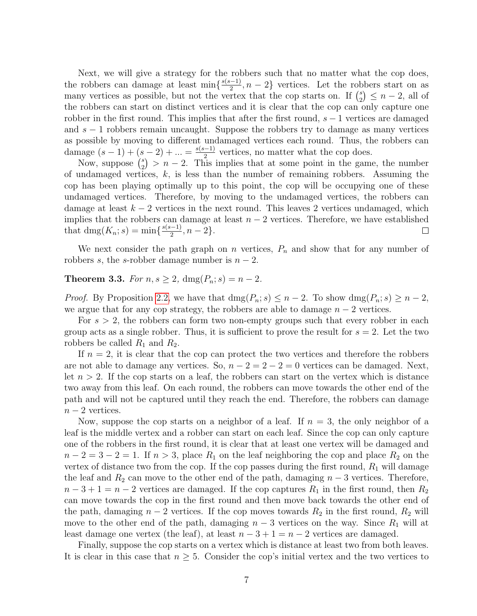Next, we will give a strategy for the robbers such that no matter what the cop does, the robbers can damage at least  $\min\left\{\frac{s(s-1)}{2}\right\}$  $\frac{(-1)}{2}$ ,  $n-2$ } vertices. Let the robbers start on as many vertices as possible, but not the vertex that the cop starts on. If  $\binom{s}{2}$  $_{2}^{s}$ )  $\leq n-2$ , all of the robbers can start on distinct vertices and it is clear that the cop can only capture one robber in the first round. This implies that after the first round,  $s - 1$  vertices are damaged and  $s - 1$  robbers remain uncaught. Suppose the robbers try to damage as many vertices as possible by moving to different undamaged vertices each round. Thus, the robbers can damage  $(s-1) + (s-2) + ... = \frac{s(s-1)}{2}$  $\frac{(-1)}{2}$  vertices, no matter what the cop does.

Now, suppose  $\binom{s}{2}$  $\binom{s}{2}$  > n – 2. This implies that at some point in the game, the number of undamaged vertices,  $k$ , is less than the number of remaining robbers. Assuming the cop has been playing optimally up to this point, the cop will be occupying one of these undamaged vertices. Therefore, by moving to the undamaged vertices, the robbers can damage at least  $k - 2$  vertices in the next round. This leaves 2 vertices undamaged, which implies that the robbers can damage at least  $n-2$  vertices. Therefore, we have established that dmg( $K_n$ ; s) = min{ $\frac{s(s-1)}{2}$  $\frac{n-1}{2}, n-2\}.$  $\Box$ 

We next consider the path graph on n vertices,  $P_n$  and show that for any number of robbers s, the s-robber damage number is  $n-2$ .

<span id="page-6-0"></span>**Theorem 3.3.** For  $n, s \ge 2$ ,  $\text{dmg}(P_n; s) = n - 2$ .

*Proof.* By Proposition [2.2,](#page-2-2) we have that  $\text{dmg}(P_n; s) \leq n-2$ . To show  $\text{dmg}(P_n; s) \geq n-2$ , we argue that for any cop strategy, the robbers are able to damage  $n-2$  vertices.

For  $s > 2$ , the robbers can form two non-empty groups such that every robber in each group acts as a single robber. Thus, it is sufficient to prove the result for  $s = 2$ . Let the two robbers be called  $R_1$  and  $R_2$ .

If  $n = 2$ , it is clear that the cop can protect the two vertices and therefore the robbers are not able to damage any vertices. So,  $n - 2 = 2 - 2 = 0$  vertices can be damaged. Next, let  $n > 2$ . If the cop starts on a leaf, the robbers can start on the vertex which is distance two away from this leaf. On each round, the robbers can move towards the other end of the path and will not be captured until they reach the end. Therefore, the robbers can damage  $n-2$  vertices.

Now, suppose the cop starts on a neighbor of a leaf. If  $n = 3$ , the only neighbor of a leaf is the middle vertex and a robber can start on each leaf. Since the cop can only capture one of the robbers in the first round, it is clear that at least one vertex will be damaged and  $n-2=3-2=1$ . If  $n>3$ , place  $R_1$  on the leaf neighboring the cop and place  $R_2$  on the vertex of distance two from the cop. If the cop passes during the first round,  $R_1$  will damage the leaf and  $R_2$  can move to the other end of the path, damaging  $n-3$  vertices. Therefore,  $n-3+1=n-2$  vertices are damaged. If the cop captures  $R_1$  in the first round, then  $R_2$ can move towards the cop in the first round and then move back towards the other end of the path, damaging  $n-2$  vertices. If the cop moves towards  $R_2$  in the first round,  $R_2$  will move to the other end of the path, damaging  $n-3$  vertices on the way. Since  $R_1$  will at least damage one vertex (the leaf), at least  $n-3+1=n-2$  vertices are damaged.

Finally, suppose the cop starts on a vertex which is distance at least two from both leaves. It is clear in this case that  $n \geq 5$ . Consider the cop's initial vertex and the two vertices to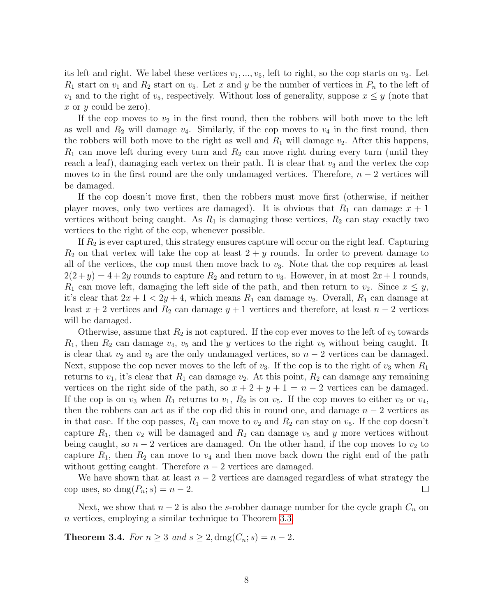its left and right. We label these vertices  $v_1, ..., v_5$ , left to right, so the cop starts on  $v_3$ . Let  $R_1$  start on  $v_1$  and  $R_2$  start on  $v_5$ . Let x and y be the number of vertices in  $P_n$  to the left of  $v_1$  and to the right of  $v_5$ , respectively. Without loss of generality, suppose  $x \leq y$  (note that x or y could be zero).

If the cop moves to  $v_2$  in the first round, then the robbers will both move to the left as well and  $R_2$  will damage  $v_4$ . Similarly, if the cop moves to  $v_4$  in the first round, then the robbers will both move to the right as well and  $R_1$  will damage  $v_2$ . After this happens,  $R_1$  can move left during every turn and  $R_2$  can move right during every turn (until they reach a leaf), damaging each vertex on their path. It is clear that  $v_3$  and the vertex the cop moves to in the first round are the only undamaged vertices. Therefore,  $n-2$  vertices will be damaged.

If the cop doesn't move first, then the robbers must move first (otherwise, if neither player moves, only two vertices are damaged). It is obvious that  $R_1$  can damage  $x + 1$ vertices without being caught. As  $R_1$  is damaging those vertices,  $R_2$  can stay exactly two vertices to the right of the cop, whenever possible.

If  $R_2$  is ever captured, this strategy ensures capture will occur on the right leaf. Capturing  $R_2$  on that vertex will take the cop at least  $2 + y$  rounds. In order to prevent damage to all of the vertices, the cop must then move back to  $v_3$ . Note that the cop requires at least  $2(2+y) = 4+2y$  rounds to capture  $R_2$  and return to  $v_3$ . However, in at most  $2x+1$  rounds,  $R_1$  can move left, damaging the left side of the path, and then return to  $v_2$ . Since  $x \leq y$ , it's clear that  $2x + 1 < 2y + 4$ , which means  $R_1$  can damage  $v_2$ . Overall,  $R_1$  can damage at least  $x + 2$  vertices and  $R_2$  can damage  $y + 1$  vertices and therefore, at least  $n - 2$  vertices will be damaged.

Otherwise, assume that  $R_2$  is not captured. If the cop ever moves to the left of  $v_3$  towards  $R_1$ , then  $R_2$  can damage  $v_4$ ,  $v_5$  and the y vertices to the right  $v_5$  without being caught. It is clear that  $v_2$  and  $v_3$  are the only undamaged vertices, so  $n-2$  vertices can be damaged. Next, suppose the cop never moves to the left of  $v_3$ . If the cop is to the right of  $v_3$  when  $R_1$ returns to  $v_1$ , it's clear that  $R_1$  can damage  $v_2$ . At this point,  $R_2$  can damage any remaining vertices on the right side of the path, so  $x + 2 + y + 1 = n - 2$  vertices can be damaged. If the cop is on  $v_3$  when  $R_1$  returns to  $v_1$ ,  $R_2$  is on  $v_5$ . If the cop moves to either  $v_2$  or  $v_4$ , then the robbers can act as if the cop did this in round one, and damage  $n-2$  vertices as in that case. If the cop passes,  $R_1$  can move to  $v_2$  and  $R_2$  can stay on  $v_5$ . If the cop doesn't capture  $R_1$ , then  $v_2$  will be damaged and  $R_2$  can damage  $v_5$  and y more vertices without being caught, so  $n-2$  vertices are damaged. On the other hand, if the cop moves to  $v_2$  to capture  $R_1$ , then  $R_2$  can move to  $v_4$  and then move back down the right end of the path without getting caught. Therefore  $n-2$  vertices are damaged.

We have shown that at least  $n-2$  vertices are damaged regardless of what strategy the cop uses, so dmg $(P_n; s) = n - 2$ .  $\Box$ 

Next, we show that  $n-2$  is also the s-robber damage number for the cycle graph  $C_n$  on n vertices, employing a similar technique to Theorem [3.3.](#page-6-0)

<span id="page-7-0"></span>**Theorem 3.4.** For  $n \geq 3$  and  $s \geq 2$ , dmg $(C_n; s) = n - 2$ .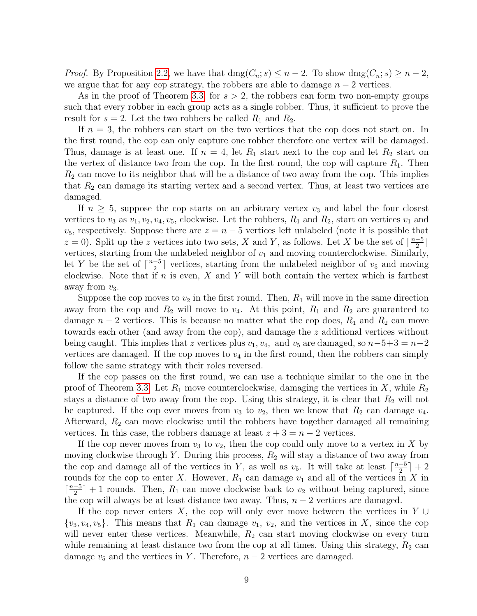*Proof.* By Proposition [2.2,](#page-2-2) we have that  $\text{dmg}(C_n; s) \leq n - 2$ . To show  $\text{dmg}(C_n; s) \geq n - 2$ , we argue that for any cop strategy, the robbers are able to damage  $n-2$  vertices.

As in the proof of Theorem [3.3,](#page-6-0) for  $s > 2$ , the robbers can form two non-empty groups such that every robber in each group acts as a single robber. Thus, it sufficient to prove the result for  $s = 2$ . Let the two robbers be called  $R_1$  and  $R_2$ .

If  $n = 3$ , the robbers can start on the two vertices that the cop does not start on. In the first round, the cop can only capture one robber therefore one vertex will be damaged. Thus, damage is at least one. If  $n = 4$ , let  $R_1$  start next to the cop and let  $R_2$  start on the vertex of distance two from the cop. In the first round, the cop will capture  $R_1$ . Then  $R<sub>2</sub>$  can move to its neighbor that will be a distance of two away from the cop. This implies that  $R_2$  can damage its starting vertex and a second vertex. Thus, at least two vertices are damaged.

If  $n \geq 5$ , suppose the cop starts on an arbitrary vertex  $v_3$  and label the four closest vertices to  $v_3$  as  $v_1, v_2, v_4, v_5$ , clockwise. Let the robbers,  $R_1$  and  $R_2$ , start on vertices  $v_1$  and  $v_5$ , respectively. Suppose there are  $z = n - 5$  vertices left unlabeled (note it is possible that  $z = 0$ ). Split up the z vertices into two sets, X and Y, as follows. Let X be the set of  $\lceil \frac{n-5}{2} \rceil$  $\frac{-5}{2}$ ] vertices, starting from the unlabeled neighbor of  $v_1$  and moving counterclockwise. Similarly, let Y be the set of  $\lceil \frac{n-5}{2} \rceil$  $\frac{-5}{2}$  vertices, starting from the unlabeled neighbor of  $v_5$  and moving clockwise. Note that if  $n$  is even,  $X$  and  $Y$  will both contain the vertex which is farthest away from  $v_3$ .

Suppose the cop moves to  $v_2$  in the first round. Then,  $R_1$  will move in the same direction away from the cop and  $R_2$  will move to  $v_4$ . At this point,  $R_1$  and  $R_2$  are guaranteed to damage  $n-2$  vertices. This is because no matter what the cop does,  $R_1$  and  $R_2$  can move towards each other (and away from the cop), and damage the z additional vertices without being caught. This implies that z vertices plus  $v_1, v_4$ , and  $v_5$  are damaged, so  $n-5+3=n-2$ vertices are damaged. If the cop moves to  $v_4$  in the first round, then the robbers can simply follow the same strategy with their roles reversed.

If the cop passes on the first round, we can use a technique similar to the one in the proof of Theorem [3.3.](#page-6-0) Let  $R_1$  move counterclockwise, damaging the vertices in X, while  $R_2$ stays a distance of two away from the cop. Using this strategy, it is clear that  $R_2$  will not be captured. If the cop ever moves from  $v_3$  to  $v_2$ , then we know that  $R_2$  can damage  $v_4$ . Afterward,  $R_2$  can move clockwise until the robbers have together damaged all remaining vertices. In this case, the robbers damage at least  $z + 3 = n - 2$  vertices.

If the cop never moves from  $v_3$  to  $v_2$ , then the cop could only move to a vertex in X by moving clockwise through Y. During this process,  $R_2$  will stay a distance of two away from the cop and damage all of the vertices in Y, as well as  $v_5$ . It will take at least  $\lceil \frac{n-5}{2} \rceil$  $\frac{-5}{2}$ ] + 2 rounds for the cop to enter X. However,  $R_1$  can damage  $v_1$  and all of the vertices in X in  $\lceil \frac{n-5}{2} \rceil$  $\frac{-5}{2}$  + 1 rounds. Then,  $R_1$  can move clockwise back to  $v_2$  without being captured, since the cop will always be at least distance two away. Thus,  $n-2$  vertices are damaged.

If the cop never enters X, the cop will only ever move between the vertices in Y ∪  $\{v_3, v_4, v_5\}$ . This means that  $R_1$  can damage  $v_1, v_2$ , and the vertices in X, since the cop will never enter these vertices. Meanwhile,  $R_2$  can start moving clockwise on every turn while remaining at least distance two from the cop at all times. Using this strategy,  $R_2$  can damage  $v_5$  and the vertices in Y. Therefore,  $n-2$  vertices are damaged.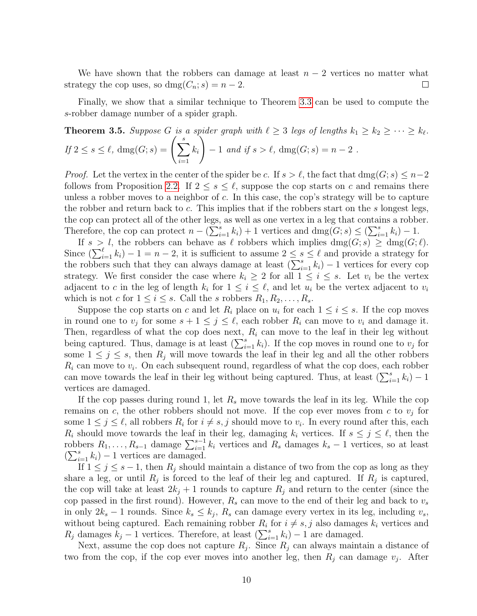We have shown that the robbers can damage at least  $n-2$  vertices no matter what strategy the cop uses, so dmg $(C_n; s) = n - 2$ .  $\Box$ 

Finally, we show that a similar technique to Theorem [3.3](#page-6-0) can be used to compute the s-robber damage number of a spider graph.

<span id="page-9-0"></span>**Theorem 3.5.** Suppose G is a spider graph with 
$$
\ell \geq 3
$$
 legs of lengths  $k_1 \geq k_2 \geq \cdots \geq k_{\ell}$ .  
If  $2 \leq s \leq \ell$ ,  $deg(G; s) = \left(\sum_{i=1}^{s} k_i\right) - 1$  and if  $s > \ell$ ,  $deg(G; s) = n - 2$ .

*Proof.* Let the vertex in the center of the spider be c. If  $s > \ell$ , the fact that dmg(G; s)  $\leq n-2$ follows from Proposition [2.2.](#page-2-2) If  $2 \leq s \leq \ell$ , suppose the cop starts on c and remains there unless a robber moves to a neighbor of  $c$ . In this case, the cop's strategy will be to capture the robber and return back to  $c$ . This implies that if the robbers start on the  $s$  longest legs, the cop can protect all of the other legs, as well as one vertex in a leg that contains a robber. Therefore, the cop can protect  $n - (\sum_{i=1}^{s} k_i) + 1$  vertices and  $\text{dmg}(G; s) \le (\sum_{i=1}^{s} k_i) - 1$ .

If  $s > l$ , the robbers can behave as  $\ell$  robbers which implies dmg( $G; s$ )  $\geq$  dmg( $G; \ell$ ). Since  $\left(\sum_{i=1}^{\ell} k_i\right) - 1 = n - 2$ , it is sufficient to assume  $2 \leq s \leq \ell$  and provide a strategy for the robbers such that they can always damage at least  $(\sum_{i=1}^{s} k_i) - 1$  vertices for every cop strategy. We first consider the case where  $k_i \geq 2$  for all  $1 \leq i \leq s$ . Let  $v_i$  be the vertex adjacent to c in the leg of length  $k_i$  for  $1 \leq i \leq \ell$ , and let  $u_i$  be the vertex adjacent to  $v_i$ which is not c for  $1 \leq i \leq s$ . Call the s robbers  $R_1, R_2, \ldots, R_s$ .

Suppose the cop starts on c and let  $R_i$  place on  $u_i$  for each  $1 \leq i \leq s$ . If the cop moves in round one to  $v_j$  for some  $s + 1 \leq j \leq \ell$ , each robber  $R_i$  can move to  $v_i$  and damage it. Then, regardless of what the cop does next,  $R_i$  can move to the leaf in their leg without being captured. Thus, damage is at least  $(\sum_{i=1}^{s} k_i)$ . If the cop moves in round one to  $v_j$  for some  $1 \leq j \leq s$ , then  $R_j$  will move towards the leaf in their leg and all the other robbers  $R_i$  can move to  $v_i$ . On each subsequent round, regardless of what the cop does, each robber can move towards the leaf in their leg without being captured. Thus, at least  $(\sum_{i=1}^{s} k_i) - 1$ vertices are damaged.

If the cop passes during round 1, let  $R_s$  move towards the leaf in its leg. While the cop remains on c, the other robbers should not move. If the cop ever moves from c to  $v_j$  for some  $1 \leq j \leq \ell$ , all robbers  $R_i$  for  $i \neq s, j$  should move to  $v_i$ . In every round after this, each  $R_i$  should move towards the leaf in their leg, damaging  $k_i$  vertices. If  $s \leq j \leq \ell$ , then the robbers  $R_1, \ldots, R_{s-1}$  damage  $\sum_{i=1}^{s-1} k_i$  vertices and  $R_s$  damages  $k_s - 1$  vertices, so at least  $(\sum_{i=1}^s k_i) - 1$  vertices are damaged.

If  $1 \leq j \leq s-1$ , then  $R_j$  should maintain a distance of two from the cop as long as they share a leg, or until  $R_j$  is forced to the leaf of their leg and captured. If  $R_j$  is captured, the cop will take at least  $2k_j + 1$  rounds to capture  $R_j$  and return to the center (since the cop passed in the first round). However,  $R_s$  can move to the end of their leg and back to  $v_s$ in only  $2k_s - 1$  rounds. Since  $k_s \leq k_j$ ,  $R_s$  can damage every vertex in its leg, including  $v_s$ , without being captured. Each remaining robber  $R_i$  for  $i \neq s, j$  also damages  $k_i$  vertices and  $R_j$  damages  $k_j - 1$  vertices. Therefore, at least  $\left(\sum_{i=1}^s k_i\right) - 1$  are damaged.

Next, assume the cop does not capture  $R_j$ . Since  $R_j$  can always maintain a distance of two from the cop, if the cop ever moves into another leg, then  $R_j$  can damage  $v_j$ . After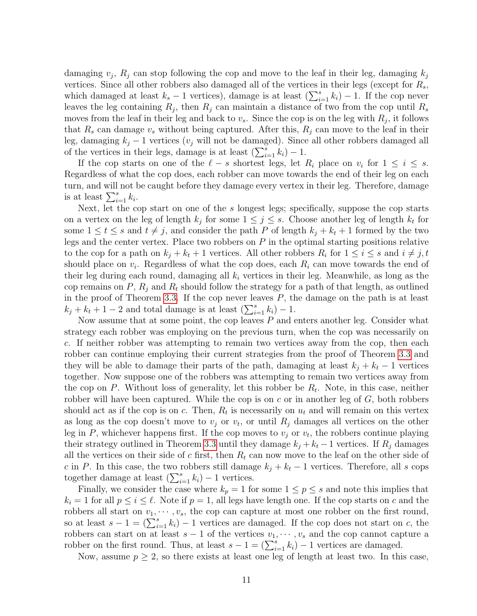damaging  $v_j$ ,  $R_j$  can stop following the cop and move to the leaf in their leg, damaging  $k_j$ vertices. Since all other robbers also damaged all of the vertices in their legs (except for  $R_s$ , which damaged at least  $k_s - 1$  vertices), damage is at least  $(\sum_{i=1}^s k_i) - 1$ . If the cop never leaves the leg containing  $R_j$ , then  $R_j$  can maintain a distance of two from the cop until  $R_s$ moves from the leaf in their leg and back to  $v_s$ . Since the cop is on the leg with  $R_j$ , it follows that  $R_s$  can damage  $v_s$  without being captured. After this,  $R_i$  can move to the leaf in their leg, damaging  $k_j - 1$  vertices ( $v_j$  will not be damaged). Since all other robbers damaged all of the vertices in their legs, damage is at least  $(\sum_{i=1}^{s} k_i) - 1$ .

If the cop starts on one of the  $\ell - s$  shortest legs, let  $R_i$  place on  $v_i$  for  $1 \leq i \leq s$ . Regardless of what the cop does, each robber can move towards the end of their leg on each turn, and will not be caught before they damage every vertex in their leg. Therefore, damage is at least  $\sum_{i=1}^s k_i$ .

Next, let the cop start on one of the s longest legs; specifically, suppose the cop starts on a vertex on the leg of length  $k_j$  for some  $1 \leq j \leq s$ . Choose another leg of length  $k_t$  for some  $1 \le t \le s$  and  $t \ne j$ , and consider the path P of length  $k_j + k_t + 1$  formed by the two legs and the center vertex. Place two robbers on  $P$  in the optimal starting positions relative to the cop for a path on  $k_j + k_t + 1$  vertices. All other robbers  $R_i$  for  $1 \leq i \leq s$  and  $i \neq j, t$ should place on  $v_i$ . Regardless of what the cop does, each  $R_i$  can move towards the end of their leg during each round, damaging all  $k_i$  vertices in their leg. Meanwhile, as long as the cop remains on P,  $R_i$  and  $R_t$  should follow the strategy for a path of that length, as outlined in the proof of Theorem [3.3.](#page-6-0) If the cop never leaves  $P$ , the damage on the path is at least  $k_j + k_t + 1 - 2$  and total damage is at least  $\left(\sum_{i=1}^s k_i\right) - 1$ .

Now assume that at some point, the cop leaves  $P$  and enters another leg. Consider what strategy each robber was employing on the previous turn, when the cop was necessarily on c. If neither robber was attempting to remain two vertices away from the cop, then each robber can continue employing their current strategies from the proof of Theorem [3.3](#page-6-0) and they will be able to damage their parts of the path, damaging at least  $k_j + k_t - 1$  vertices together. Now suppose one of the robbers was attempting to remain two vertices away from the cop on P. Without loss of generality, let this robber be  $R_t$ . Note, in this case, neither robber will have been captured. While the cop is on  $c$  or in another leg of  $G$ , both robbers should act as if the cop is on c. Then,  $R_t$  is necessarily on  $u_t$  and will remain on this vertex as long as the cop doesn't move to  $v_j$  or  $v_t$ , or until  $R_j$  damages all vertices on the other leg in P, whichever happens first. If the cop moves to  $v_j$  or  $v_t$ , the robbers continue playing their strategy outlined in Theorem [3.3](#page-6-0) until they damage  $k_j + k_t - 1$  vertices. If  $R_j$  damages all the vertices on their side of c first, then  $R_t$  can now move to the leaf on the other side of c in P. In this case, the two robbers still damage  $k_j + k_t - 1$  vertices. Therefore, all s cops together damage at least  $(\sum_{i=1}^{s} k_i) - 1$  vertices.

Finally, we consider the case where  $k_p = 1$  for some  $1 \le p \le s$  and note this implies that  $k_i = 1$  for all  $p \leq i \leq \ell$ . Note if  $p = 1$ , all legs have length one. If the cop starts on c and the robbers all start on  $v_1, \dots, v_s$ , the cop can capture at most one robber on the first round, so at least  $s - 1 = (\sum_{i=1}^{s} k_i) - 1$  vertices are damaged. If the cop does not start on c, the robbers can start on at least  $s - 1$  of the vertices  $v_1, \dots, v_s$  and the cop cannot capture a robber on the first round. Thus, at least  $s - 1 = (\sum_{i=1}^{s} k_i) - 1$  vertices are damaged.

Now, assume  $p \geq 2$ , so there exists at least one leg of length at least two. In this case,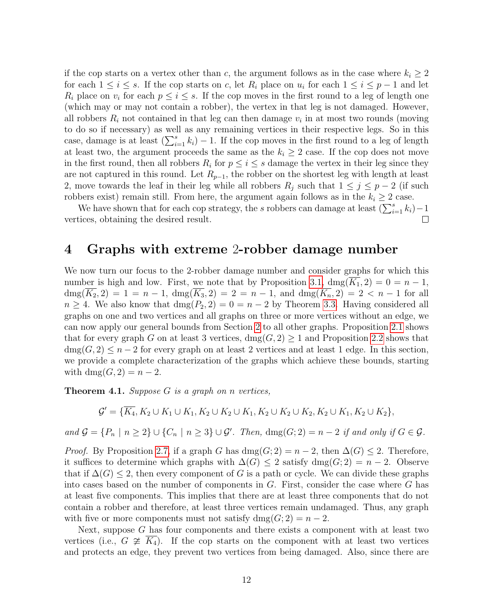if the cop starts on a vertex other than c, the argument follows as in the case where  $k_i \geq 2$ for each  $1 \leq i \leq s$ . If the cop starts on c, let  $R_i$  place on  $u_i$  for each  $1 \leq i \leq p-1$  and let  $R_i$  place on  $v_i$  for each  $p \leq i \leq s$ . If the cop moves in the first round to a leg of length one (which may or may not contain a robber), the vertex in that leg is not damaged. However, all robbers  $R_i$  not contained in that leg can then damage  $v_i$  in at most two rounds (moving to do so if necessary) as well as any remaining vertices in their respective legs. So in this case, damage is at least  $(\sum_{i=1}^{s} k_i) - 1$ . If the cop moves in the first round to a leg of length at least two, the argument proceeds the same as the  $k_i \geq 2$  case. If the cop does not move in the first round, then all robbers  $R_i$  for  $p \leq i \leq s$  damage the vertex in their leg since they are not captured in this round. Let  $R_{p-1}$ , the robber on the shortest leg with length at least 2, move towards the leaf in their leg while all robbers  $R_j$  such that  $1 \leq j \leq p-2$  (if such robbers exist) remain still. From here, the argument again follows as in the  $k_i \geq 2$  case.

We have shown that for each cop strategy, the s robbers can damage at least  $(\sum_{i=1}^{s} k_i)-1$  $\Box$ vertices, obtaining the desired result.

### <span id="page-11-0"></span>4 Graphs with extreme 2-robber damage number

We now turn our focus to the 2-robber damage number and consider graphs for which this number is high and low. First, we note that by Proposition [3.1,](#page-5-1)  $\text{dmg}(K_1, 2) = 0 = n - 1$ ,  $\dim(\overline{K_2}, 2) = 1 = n - 1$ ,  $\dim(\overline{K_3}, 2) = 2 = n - 1$ , and  $\dim(\overline{K_n}, 2) = 2 < n - 1$  for all  $n \geq 4$ . We also know that  $\text{dmg}(P_2, 2) = 0 = n - 2$  by Theorem [3.3.](#page-6-0) Having considered all graphs on one and two vertices and all graphs on three or more vertices without an edge, we can now apply our general bounds from Section [2](#page-2-0) to all other graphs. Proposition [2.1](#page-2-1) shows that for every graph G on at least 3 vertices,  $\text{dmg}(G, 2) \geq 1$  and Proposition [2.2](#page-2-2) shows that  $\text{dmg}(G, 2) \leq n-2$  for every graph on at least 2 vertices and at least 1 edge. In this section, we provide a complete characterization of the graphs which achieve these bounds, starting with dmg $(G, 2) = n - 2$ .

<span id="page-11-1"></span>**Theorem 4.1.** Suppose  $G$  is a graph on n vertices,

$$
\mathcal{G}' = \{ \overline{K_4}, K_2 \cup K_1 \cup K_1, K_2 \cup K_2 \cup K_1, K_2 \cup K_2 \cup K_2, K_2 \cup K_1, K_2 \cup K_2 \},\
$$

and  $\mathcal{G} = \{P_n \mid n \geq 2\} \cup \{C_n \mid n \geq 3\} \cup \mathcal{G}'$ . Then,  $\text{dmg}(G; 2) = n - 2$  if and only if  $G \in \mathcal{G}$ .

*Proof.* By Proposition [2.7,](#page-3-1) if a graph G has  $\text{dmg}(G; 2) = n - 2$ , then  $\Delta(G) \leq 2$ . Therefore, it suffices to determine which graphs with  $\Delta(G) \leq 2$  satisfy dmg $(G; 2) = n - 2$ . Observe that if  $\Delta(G) \leq 2$ , then every component of G is a path or cycle. We can divide these graphs into cases based on the number of components in  $G$ . First, consider the case where  $G$  has at least five components. This implies that there are at least three components that do not contain a robber and therefore, at least three vertices remain undamaged. Thus, any graph with five or more components must not satisfy  $\text{dmg}(G; 2) = n - 2$ .

Next, suppose  $G$  has four components and there exists a component with at least two vertices (i.e.,  $G \not\cong K_4$ ). If the cop starts on the component with at least two vertices and protects an edge, they prevent two vertices from being damaged. Also, since there are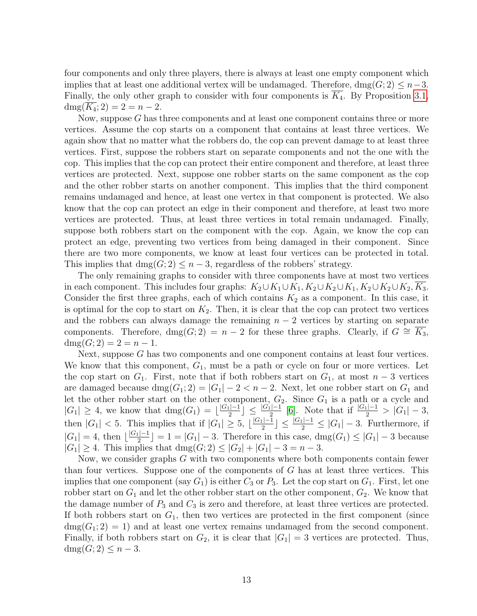four components and only three players, there is always at least one empty component which implies that at least one additional vertex will be undamaged. Therefore,  $\text{dmg}(G; 2) \leq n-3$ . Finally, the only other graph to consider with four components is  $\overline{K_4}$ . By Proposition [3.1,](#page-5-1)  $\text{dmg}(\overline{K_4}; 2) = 2 = n - 2.$ 

Now, suppose G has three components and at least one component contains three or more vertices. Assume the cop starts on a component that contains at least three vertices. We again show that no matter what the robbers do, the cop can prevent damage to at least three vertices. First, suppose the robbers start on separate components and not the one with the cop. This implies that the cop can protect their entire component and therefore, at least three vertices are protected. Next, suppose one robber starts on the same component as the cop and the other robber starts on another component. This implies that the third component remains undamaged and hence, at least one vertex in that component is protected. We also know that the cop can protect an edge in their component and therefore, at least two more vertices are protected. Thus, at least three vertices in total remain undamaged. Finally, suppose both robbers start on the component with the cop. Again, we know the cop can protect an edge, preventing two vertices from being damaged in their component. Since there are two more components, we know at least four vertices can be protected in total. This implies that  $\text{dmg}(G; 2) \leq n-3$ , regardless of the robbers' strategy.

The only remaining graphs to consider with three components have at most two vertices in each component. This includes four graphs:  $K_2\cup K_1\cup K_1, K_2\cup K_2\cup K_1, K_2\cup K_2\cup K_2, \overline{K_3}.$ Consider the first three graphs, each of which contains  $K_2$  as a component. In this case, it is optimal for the cop to start on  $K_2$ . Then, it is clear that the cop can protect two vertices and the robbers can always damage the remaining  $n-2$  vertices by starting on separate components. Therefore, dmg( $G$ ; 2) = n − 2 for these three graphs. Clearly, if  $G \cong K_3$ ,  $dmg(G; 2) = 2 = n - 1.$ 

Next, suppose  $G$  has two components and one component contains at least four vertices. We know that this component,  $G_1$ , must be a path or cycle on four or more vertices. Let the cop start on  $G_1$ . First, note that if both robbers start on  $G_1$ , at most  $n-3$  vertices are damaged because  $\text{dmg}(G_1; 2) = |G_1| - 2 < n - 2$ . Next, let one robber start on  $G_1$  and let the other robber start on the other component,  $G_2$ . Since  $G_1$  is a path or a cycle and  $|G_1| \geq 4$ , we know that  $\text{dmg}(G_1) = \lfloor \frac{|G_1| - 1}{2} \rfloor$  $\lfloor \frac{C-1}{2} \rfloor \leq \frac{|G_1|-1}{2}$  [\[6\]](#page-15-6). Note that if  $\frac{|G_1|-1}{2} > |G_1|-3$ , then  $|G_1| < 5$ . This implies that if  $|G_1| \geq 5$ ,  $\lfloor \frac{|G_1| - 1}{2} \rfloor$  $\lfloor \frac{d-1}{2} \rfloor \leq \frac{|G_1|-1}{2} \leq |G_1|-3$ . Furthermore, if  $|G_1| = 4$ , then  $\lfloor \frac{|G_1| - 1}{2} \rfloor$  $\lfloor \frac{c_1-1}{2} \rfloor = 1 = |G_1| - 3$ . Therefore in this case, dmg $(G_1) \leq |G_1| - 3$  because  $|G_1| \geq 4$ . This implies that  $\text{dmg}(G; 2) \leq |G_2| + |G_1| - 3 = n - 3$ .

Now, we consider graphs G with two components where both components contain fewer than four vertices. Suppose one of the components of G has at least three vertices. This implies that one component (say  $G_1$ ) is either  $C_3$  or  $P_3$ . Let the cop start on  $G_1$ . First, let one robber start on  $G_1$  and let the other robber start on the other component,  $G_2$ . We know that the damage number of  $P_3$  and  $C_3$  is zero and therefore, at least three vertices are protected. If both robbers start on  $G_1$ , then two vertices are protected in the first component (since  $\text{dmg}(G_1; 2) = 1$ ) and at least one vertex remains undamaged from the second component. Finally, if both robbers start on  $G_2$ , it is clear that  $|G_1| = 3$  vertices are protected. Thus,  $\operatorname{dmg}(G; 2) \leq n-3.$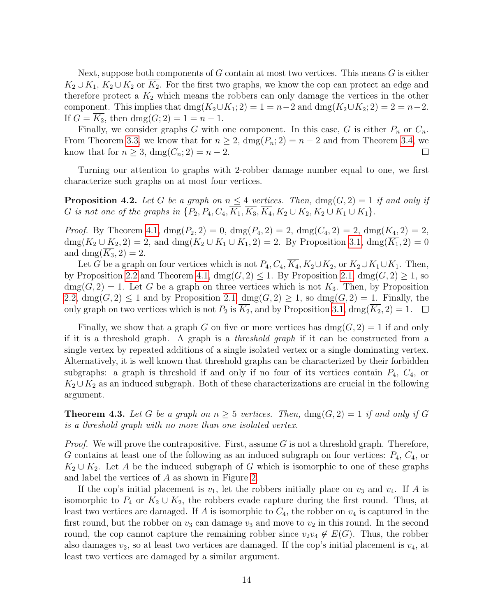Next, suppose both components of  $G$  contain at most two vertices. This means  $G$  is either  $K_2 \cup K_1$ ,  $K_2 \cup K_2$  or  $K_2$ . For the first two graphs, we know the cop can protect an edge and therefore protect a  $K_2$  which means the robbers can only damage the vertices in the other component. This implies that dmg( $K_2 \cup K_1$ ; 2) = 1 = n-2 and dmg( $K_2 \cup K_2$ ; 2) = 2 = n-2. If  $G = K_2$ , then  $\text{dmg}(G; 2) = 1 = n - 1$ .

Finally, we consider graphs G with one component. In this case, G is either  $P_n$  or  $C_n$ . From Theorem [3.3,](#page-6-0) we know that for  $n \geq 2$ ,  $\text{dmg}(P_n; 2) = n - 2$  and from Theorem [3.4,](#page-7-0) we know that for  $n \geq 3$ ,  $\text{dmg}(C_n; 2) = n - 2$ .  $\Box$ 

Turning our attention to graphs with 2-robber damage number equal to one, we first characterize such graphs on at most four vertices.

**Proposition 4.2.** Let G be a graph on  $n \leq 4$  vertices. Then,  $\text{dmg}(G, 2) = 1$  if and only if G is not one of the graphs in  $\{P_2, P_4, C_4, \overline{K_1}, \overline{K_3}, \overline{K_4}, K_2 \cup K_2, K_2 \cup K_1 \cup K_1\}.$ 

*Proof.* By Theorem [4.1,](#page-11-1)  $\text{dmg}(P_2, 2) = 0$ ,  $\text{dmg}(P_4, 2) = 2$ ,  $\text{dmg}(C_4, 2) = 2$ ,  $\text{dmg}(\overline{K_4}, 2) = 2$ , dmg( $K_2 \cup K_2$ , 2) = 2, and dmg( $K_2 \cup K_1 \cup K_1$ , 2) = 2. By Proposition [3.1,](#page-5-1) dmg( $\overline{K_1}$ , 2) = 0 and dmg( $\overline{K_3}$ , 2) = 2.

Let G be a graph on four vertices which is not  $P_4, C_4, \overline{K_4}, K_2 \cup K_2$ , or  $K_2 \cup K_1 \cup K_1$ . Then, by Proposition [2.2](#page-2-2) and Theorem [4.1,](#page-11-1)  $\text{dmg}(G, 2) \leq 1$ . By Proposition [2.1,](#page-2-1)  $\text{dmg}(G, 2) \geq 1$ , so  $\text{dmg}(G, 2) = 1$ . Let G be a graph on three vertices which is not  $\overline{K_3}$ . Then, by Proposition [2.2,](#page-2-2)  $\text{dmg}(G, 2) \leq 1$  and by Proposition [2.1,](#page-2-1)  $\text{dmg}(G, 2) \geq 1$ , so  $\text{dmg}(G, 2) = 1$ . Finally, the only graph on two vertices which is not  $P_2$  is  $\overline{K_2}$ , and by Proposition [3.1,](#page-5-1) dmg( $\overline{K_2}$ , 2) = 1.  $\Box$ 

Finally, we show that a graph G on five or more vertices has  $\text{dmg}(G, 2) = 1$  if and only if it is a threshold graph. A graph is a threshold graph if it can be constructed from a single vertex by repeated additions of a single isolated vertex or a single dominating vertex. Alternatively, it is well known that threshold graphs can be characterized by their forbidden subgraphs: a graph is threshold if and only if no four of its vertices contain  $P_4$ ,  $C_4$ , or  $K_2 \cup K_2$  as an induced subgraph. Both of these characterizations are crucial in the following argument.

**Theorem 4.3.** Let G be a graph on  $n \geq 5$  vertices. Then,  $\text{dmg}(G, 2) = 1$  if and only if G is a threshold graph with no more than one isolated vertex.

*Proof.* We will prove the contrapositive. First, assume G is not a threshold graph. Therefore, G contains at least one of the following as an induced subgraph on four vertices:  $P_4$ ,  $C_4$ , or  $K_2 \cup K_2$ . Let A be the induced subgraph of G which is isomorphic to one of these graphs and label the vertices of A as shown in Figure [2.](#page-14-0)

If the cop's initial placement is  $v_1$ , let the robbers initially place on  $v_3$  and  $v_4$ . If A is isomorphic to  $P_4$  or  $K_2 \cup K_2$ , the robbers evade capture during the first round. Thus, at least two vertices are damaged. If A is isomorphic to  $C_4$ , the robber on  $v_4$  is captured in the first round, but the robber on  $v_3$  can damage  $v_3$  and move to  $v_2$  in this round. In the second round, the cop cannot capture the remaining robber since  $v_2v_4 \notin E(G)$ . Thus, the robber also damages  $v_2$ , so at least two vertices are damaged. If the cop's initial placement is  $v_4$ , at least two vertices are damaged by a similar argument.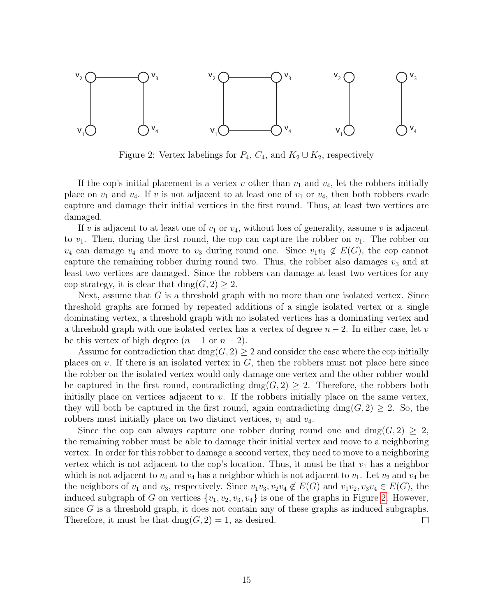<span id="page-14-0"></span>

Figure 2: Vertex labelings for  $P_4$ ,  $C_4$ , and  $K_2 \cup K_2$ , respectively

If the cop's initial placement is a vertex v other than  $v_1$  and  $v_4$ , let the robbers initially place on  $v_1$  and  $v_4$ . If v is not adjacent to at least one of  $v_1$  or  $v_4$ , then both robbers evade capture and damage their initial vertices in the first round. Thus, at least two vertices are damaged.

If v is adjacent to at least one of  $v_1$  or  $v_4$ , without loss of generality, assume v is adjacent to  $v_1$ . Then, during the first round, the cop can capture the robber on  $v_1$ . The robber on  $v_4$  can damage  $v_4$  and move to  $v_3$  during round one. Since  $v_1v_3 \notin E(G)$ , the cop cannot capture the remaining robber during round two. Thus, the robber also damages  $v_3$  and at least two vertices are damaged. Since the robbers can damage at least two vertices for any cop strategy, it is clear that  $\text{dmg}(G, 2) \geq 2$ .

Next, assume that  $G$  is a threshold graph with no more than one isolated vertex. Since threshold graphs are formed by repeated additions of a single isolated vertex or a single dominating vertex, a threshold graph with no isolated vertices has a dominating vertex and a threshold graph with one isolated vertex has a vertex of degree  $n-2$ . In either case, let v be this vertex of high degree  $(n-1 \text{ or } n-2)$ .

Assume for contradiction that  $\text{dmg}(G, 2) \geq 2$  and consider the case where the cop initially places on  $v$ . If there is an isolated vertex in  $G$ , then the robbers must not place here since the robber on the isolated vertex would only damage one vertex and the other robber would be captured in the first round, contradicting  $\text{dmg}(G, 2) \geq 2$ . Therefore, the robbers both initially place on vertices adjacent to  $v$ . If the robbers initially place on the same vertex, they will both be captured in the first round, again contradicting dmg( $G$ , 2)  $\geq$  2. So, the robbers must initially place on two distinct vertices,  $v_1$  and  $v_4$ .

Since the cop can always capture one robber during round one and  $\text{dmg}(G, 2) \geq 2$ , the remaining robber must be able to damage their initial vertex and move to a neighboring vertex. In order for this robber to damage a second vertex, they need to move to a neighboring vertex which is not adjacent to the cop's location. Thus, it must be that  $v_1$  has a neighbor which is not adjacent to  $v_4$  and  $v_4$  has a neighbor which is not adjacent to  $v_1$ . Let  $v_2$  and  $v_4$  be the neighbors of  $v_1$  and  $v_3$ , respectively. Since  $v_1v_3, v_2v_4 \notin E(G)$  and  $v_1v_2, v_3v_4 \in E(G)$ , the induced subgraph of G on vertices  $\{v_1, v_2, v_3, v_4\}$  is one of the graphs in Figure [2.](#page-14-0) However, since  $G$  is a threshold graph, it does not contain any of these graphs as induced subgraphs. Therefore, it must be that  $\text{dmg}(G, 2) = 1$ , as desired.  $\Box$